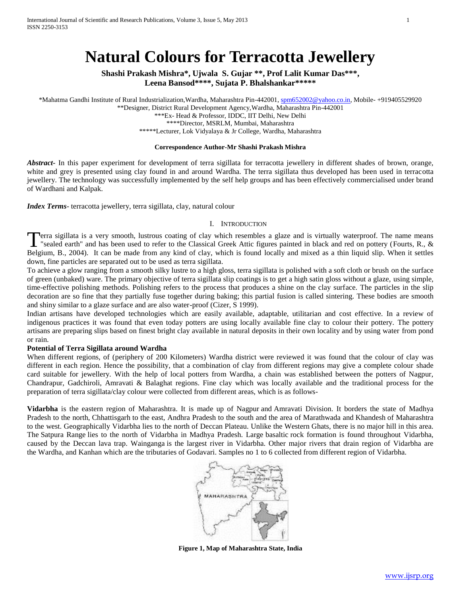# **Natural Colours for Terracotta Jewellery**

**Shashi Prakash Mishra\*, Ujwala S. Gujar \*\*, Prof Lalit Kumar Das\*\*\*, Leena Bansod\*\*\*\*, Sujata P. Bhalshankar\*\*\*\*\***

\*Mahatma Gandhi Institute of Rural Industrialization,Wardha, Maharashtra Pin-442001, [spm652002@yahoo.co.in,](mailto:spm652002@yahoo.co.in) Mobile- +919405529920 \*\*Designer, District Rural Development Agency,Wardha, Maharashtra Pin-442001

\*\*\*Ex- Head & Professor, IDDC, IIT Delhi, New Delhi \*\*\*\*Director, MSRLM, Mumbai, Maharashtra \*\*\*\*\*Lecturer, Lok Vidyalaya & Jr College, Wardha, Maharashtra

#### **Correspondence Author-Mr Shashi Prakash Mishra**

*Abstract***-** In this paper experiment for development of terra sigillata for terracotta jewellery in different shades of brown, orange, white and grey is presented using clay found in and around Wardha. The terra sigillata thus developed has been used in terracotta jewellery. The technology was successfully implemented by the self help groups and has been effectively commercialised under brand of Wardhani and Kalpak.

*Index Terms*- terracotta jewellery, terra sigillata, clay, natural colour

#### I. INTRODUCTION

Perra sigillata is a very smooth, lustrous coating of clay which resembles a glaze and is virtually waterproof. The name means Terra sigillata is a very smooth, lustrous coating of clay which resembles a glaze and is virtually waterproof. The name means "sealed earth" and has been used to refer to the Classical Greek Attic figures painted in black Belgium, B., 2004). It can be made from any kind of clay, which is found locally and mixed as a thin liquid slip. When it settles down, fine particles are separated out to be used as terra sigillata.

To achieve a glow ranging from a smooth silky lustre to a high gloss, terra sigillata is polished with a soft cloth or brush on the surface of green (unbaked) ware. The primary objective of terra sigillata slip coatings is to get a high satin gloss without a glaze, using simple, time-effective polishing methods. Polishing refers to the process that produces a shine on the clay surface. The particles in the slip decoration are so fine that they partially fuse together during baking; this partial fusion is called sintering. These bodies are smooth and shiny similar to a glaze surface and are also water-proof (Cizer, S 1999).

Indian artisans have developed technologies which are easily available, adaptable, utilitarian and cost effective. In a review of indigenous practices it was found that even today potters are using locally available fine clay to colour their pottery. The pottery artisans are preparing slips based on finest bright clay available in natural deposits in their own locality and by using water from pond or rain.

## **Potential of Terra Sigillata around Wardha**

When different regions, of (periphery of 200 Kilometers) Wardha district were reviewed it was found that the colour of clay was different in each region. Hence the possibility, that a combination of clay from different regions may give a complete colour shade card suitable for jewellery. With the help of local potters from Wardha, a chain was established between the potters of Nagpur, Chandrapur, Gadchiroli, Amravati & Balaghat regions. Fine clay which was locally available and the traditional process for the preparation of terra sigillata/clay colour were collected from different areas, which is as follows-

**Vidarbha** is the eastern region of Maharashtra. It is made up of Nagpur and Amravati Division. It borders the state of Madhya Pradesh to the north, Chhattisgarh to the east, Andhra Pradesh to the south and the area of Marathwada and Khandesh of Maharashtra to the west. Geographically Vidarbha lies to the north of Deccan Plateau. Unlike the Western Ghats, there is no major hill in this area. The Satpura Range lies to the north of Vidarbha in Madhya Pradesh. Large basaltic rock formation is found throughout Vidarbha, caused by the Deccan lava trap. Wainganga is the largest river in Vidarbha. Other major rivers that drain region of Vidarbha are the Wardha, and Kanhan which are the tributaries of Godavari. Samples no 1 to 6 collected from different region of Vidarbha.



**Figure 1, Map of Maharashtra State, India**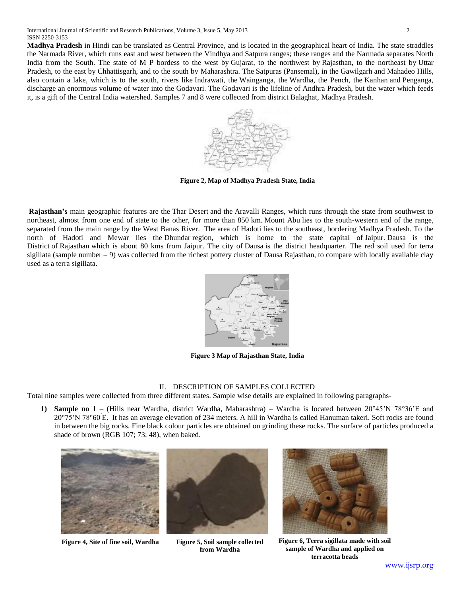**Madhya Pradesh** in Hindi can be translated as Central Province, and is located in the geographical heart of India. The state straddles the Narmada River, which runs east and west between the Vindhya and Satpura ranges; these ranges and the Narmada separates North India from the South. The state of M P bordess to the west by Gujarat, to the northwest by Rajasthan, to the northeast by Uttar Pradesh, to the east by Chhattisgarh, and to the south by Maharashtra. The Satpuras (Pansemal), in the Gawilgarh and Mahadeo Hills, also contain a lake, which is to the south, rivers like Indrawati, the Wainganga, the Wardha, the Pench, the Kanhan and Penganga, discharge an enormous volume of water into the Godavari. The Godavari is the lifeline of Andhra Pradesh, but the water which feeds it, is a gift of the Central India watershed. Samples 7 and 8 were collected from district Balaghat, Madhya Pradesh.



**Figure 2, Map of Madhya Pradesh State, India**

**Rajasthan's** main geographic features are the Thar Desert and the Aravalli Ranges, which runs through the state from southwest to northeast, almost from one end of state to the other, for more than 850 km. Mount Abu lies to the south-western end of the range, separated from the main range by the West Banas River. The area of Hadoti lies to the southeast, bordering Madhya Pradesh. To the north of Hadoti and Mewar lies the Dhundar region, which is home to the state capital of Jaipur. Dausa is the District of Rajasthan which is about 80 kms from Jaipur. The city of Dausa is the district headquarter. The red soil used for terra sigillata (sample number – 9) was collected from the richest pottery cluster of Dausa Rajasthan, to compare with locally available clay used as a terra sigillata.



**Figure 3 Map of Rajasthan State, India**

# II. DESCRIPTION OF SAMPLES COLLECTED

Total nine samples were collected from three different states. Sample wise details are explained in following paragraphs-

**1) Sample no 1** – (Hills near Wardha, district Wardha, Maharashtra) – Wardha is located between 20°45'N 78°36'E and 20°75'N 78°60'E. It has an average elevation of 234 meters. A hill in Wardha is called Hanuman takeri. Soft rocks are found in between the big rocks. Fine black colour particles are obtained on grinding these rocks. The surface of particles produced a shade of brown (RGB 107; 73; 48), when baked.



**Figure 4, Site of fine soil, Wardha Figure 5, Soil sample collected** 



**from Wardha**



**Figure 6, Terra sigillata made with soil sample of Wardha and applied on terracotta beads**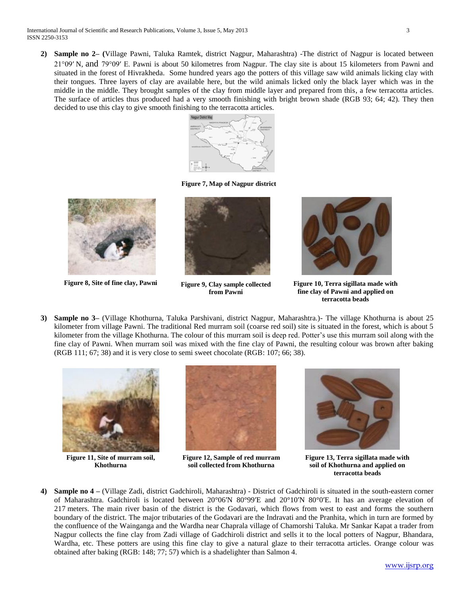**2) Sample no 2– (**Village Pawni, Taluka Ramtek, district Nagpur, Maharashtra) -The district of Nagpur is located between 21°09′ N, and 79°09′ E. Pawni is about 50 kilometres from Nagpur. The clay site is about 15 kilometers from Pawni and situated in the forest of Hivrakheda. Some hundred years ago the potters of this village saw wild animals licking clay with their tongues. Three layers of clay are available here, but the wild animals licked only the black layer which was in the middle in the middle. They brought samples of the clay from middle layer and prepared from this, a few terracotta articles. The surface of articles thus produced had a very smooth finishing with bright brown shade (RGB 93; 64; 42). They then decided to use this clay to give smooth finishing to the terracotta articles.



**Figure 7, Map of Nagpur district**



**Figure 8, Site of fine clay, Pawni Figure 9, Clay sample collected** 



**from Pawni**



**Figure 10, Terra sigillata made with fine clay of Pawni and applied on terracotta beads**

**3) Sample no 3–** (Village Khothurna, Taluka Parshivani, district Nagpur, Maharashtra.)- The village Khothurna is about 25 kilometer from village Pawni. The traditional Red murram soil (coarse red soil) site is situated in the forest, which is about 5 kilometer from the village Khothurna. The colour of this murram soil is deep red. Potter's use this murram soil along with the fine clay of Pawni. When murram soil was mixed with the fine clay of Pawni, the resulting colour was brown after baking (RGB 111; 67; 38) and it is very close to semi sweet chocolate (RGB: 107; 66; 38).



**Figure 11, Site of murram soil, Khothurna**



**Figure 12, Sample of red murram soil collected from Khothurna**



**Figure 13, Terra sigillata made with soil of Khothurna and applied on terracotta beads**

**4) Sample no 4 –** (Village Zadi, district Gadchiroli, Maharashtra) - District of Gadchiroli is situated in the south-eastern corner of Maharashtra. Gadchiroli is located between 20°06′N 80°99′E and 20°10′N 80°0′E. It has an average elevation of 217 meters. The main river basin of the district is the Godavari, which flows from west to east and forms the southern boundary of the district. The major tributaries of the Godavari are the Indravati and the Pranhita, which in turn are formed by the confluence of the Wainganga and the Wardha near Chaprala village of Chamorshi Taluka. Mr Sankar Kapat a trader from Nagpur collects the fine clay from Zadi village of Gadchiroli district and sells it to the local potters of Nagpur, Bhandara, Wardha, etc. These potters are using this fine clay to give a natural glaze to their terracotta articles. Orange colour was obtained after baking (RGB: 148; 77; 57) which is a shadelighter than Salmon 4.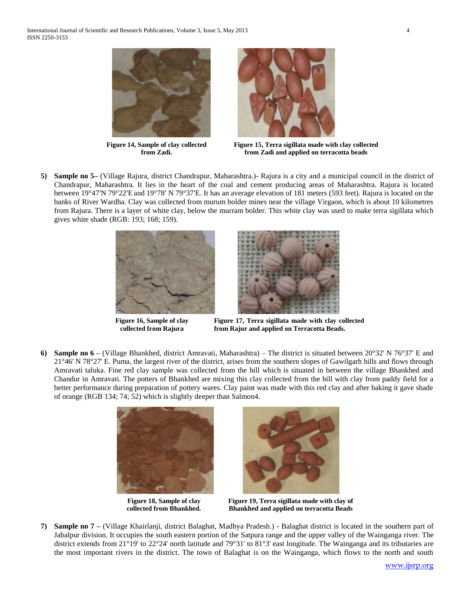

**Figure 14, Sample of clay collected from Zadi.**



**Figure 15, Terra sigillata made with clay collected from Zadi and applied on terracotta beads**

**5) Sample no 5–** (Village Rajura, district Chandrapur, Maharashtra.)- Rajura is a city and a municipal council in the district of Chandrapur, Maharashtra. It lies in the heart of the coal and cement producing areas of Maharashtra. Rajura is located between 19°47′N 79°22′E and 19°78′ N 79°37′E. It has an average elevation of 181 meters (593 feet). Rajura is located on the banks of River Wardha. Clay was collected from murum bolder mines near the village Virgaon, which is about 10 kilometres from Rajura. There is a layer of white clay, below the murram bolder. This white clay was used to make terra sigillata which gives white shade (RGB: 193; 168; 159).



**Figure 16, Sample of clay collected from Rajura**



**Figure 17, Terra sigillata made with clay collected from Rajur and applied on Terracotta Beads.**

**6) Sample no 6 –** (Village Bhankhed, district Amravati, Maharashtra) – The district is situated between 20°32' N 76°37' E and 21°46' N 78°27' E. Puma, the largest river of the district, arises from the southern slopes of Gawilgarh hills and flows through Amravati taluka. Fine red clay sample was collected from the hill which is situated in between the village Bhankhed and Chandur in Amravati. The potters of Bhankhed are mixing this clay collected from the hill with clay from paddy field for a better performance during preparation of pottery wares. Clay paint was made with this red clay and after baking it gave shade of orange (RGB 134; 74; 52) which is slightly deeper than Salmon4.



**Figure 18, Sample of clay collected from Bhankhed.**



**Figure 19, Terra sigillata made with clay of Bhankhed and applied on terracotta Beads**

**7) Sample no 7 –** (Village Khairlanji, district Balaghat, Madhya Pradesh.) - Balaghat district is located in the southern part of Jabalpur division. It occupies the south eastern portion of the Satpura range and the upper valley of the Wainganga river. The district extends from 21°19' to 22°24' north latitude and 79°31' to 81°3' east longitude. The Wainganga and its tributaries are the most important rivers in the district. The town of Balaghat is on the Wainganga, which flows to the north and south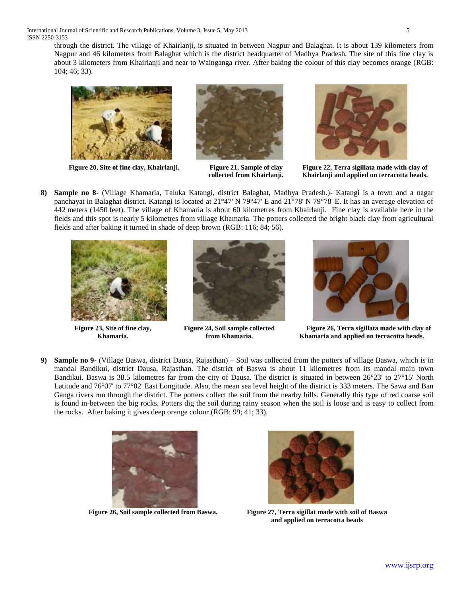International Journal of Scientific and Research Publications, Volume 3, Issue 5, May 2013 5 ISSN 2250-3153

through the district. The village of Khairlanji, is situated in between Nagpur and Balaghat. It is about 139 kilometers from Nagpur and 46 kilometers from Balaghat which is the district headquarter of Madhya Pradesh. The site of this fine clay is about 3 kilometers from Khairlanji and near to Wainganga river. After baking the colour of this clay becomes orange (RGB: 104; 46; 33).



**Figure 20, Site of fine clay, Khairlanji. Figure 21, Sample of clay** 



**collected from Khairlanji.**



**Figure 22, Terra sigillata made with clay of Khairlanji and applied on terracotta beads.**

**8) Sample no 8-** (Village Khamaria, Taluka Katangi, district Balaghat, Madhya Pradesh.)- Katangi is a town and a nagar panchayat in Balaghat district. Katangi is located at 21°47' N 79°47' E and 21°78' N 79°78' E. It has an average elevation of 442 meters (1450 feet). The village of Khamaria is about 60 kilometres from Khairlanji. Fine clay is available here in the fields and this spot is nearly 5 kilometres from village Khamaria. The potters collected the bright black clay from agricultural fields and after baking it turned in shade of deep brown (RGB: 116; 84; 56).



**Figure 23, Site of fine clay, Khamaria.**



**Figure 24, Soil sample collected from Khamaria.**



 **Figure 26, Terra sigillata made with clay of Khamaria and applied on terracotta beads.**

**9) Sample no 9-** (Village Baswa, district Dausa, Rajasthan) – Soil was collected from the potters of village Baswa, which is in mandal Bandikui, district Dausa, Rajasthan. The district of Baswa is about 11 kilometres from its mandal main town Bandikui. Baswa is 38.5 kilometres far from the city of Dausa. The district is situated in between 26°23' to 27°15' North Latitude and 76°07' to 77°02' East Longitude. Also, the mean sea level height of the district is 333 meters. The Sawa and Ban Ganga rivers run through the district. The potters collect the soil from the nearby hills. Generally this type of red coarse soil is found in-between the big rocks. Potters dig the soil during rainy season when the soil is loose and is easy to collect from the rocks. After baking it gives deep orange colour (RGB: 99; 41; 33).



**Figure 26, Soil sample collected from Baswa. Figure 27, Terra sigillat made with soil of Baswa** 



**and applied on terracotta beads**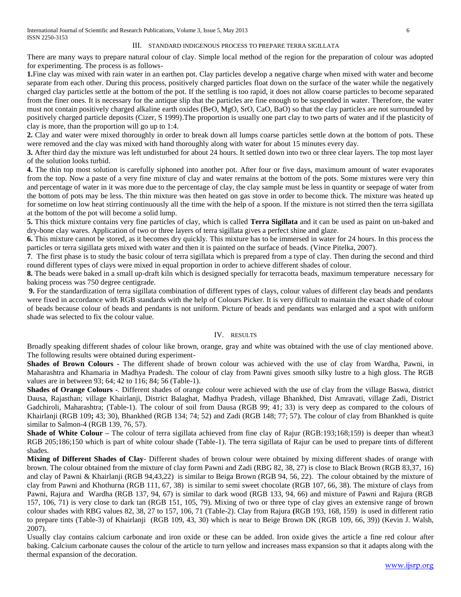## III. STANDARD INDIGENOUS PROCESS TO PREPARE TERRA SIGILLATA

There are many ways to prepare natural colour of clay. Simple local method of the region for the preparation of colour was adopted for experimenting. The process is as follows-

**1.**Fine clay was mixed with rain water in an earthen pot. Clay particles develop a negative charge when mixed with water and become separate from each other. During this process, positively charged particles float down on the surface of the water while the negatively charged clay particles settle at the bottom of the pot. If the settling is too rapid, it does not allow coarse particles to become separated from the finer ones. It is necessary for the antique slip that the particles are fine enough to be suspended in water. Therefore, the water must not contain positively charged alkaline earth oxides (BeO, MgO, SrO, CaO, BaO) so that the clay particles are not surrounded by positively charged particle deposits (Cizer, S 1999).The proportion is usually one part clay to two parts of water and if the plasticity of clay is more, than the proportion will go up to 1:4.

**2.** Clay and water were mixed thoroughly in order to break down all lumps coarse particles settle down at the bottom of pots. These were removed and the clay was mixed with hand thoroughly along with water for about 15 minutes every day.

**3.** After third day the mixture was left undisturbed for about 24 hours. It settled down into two or three clear layers. The top most layer of the solution looks turbid.

**4.** The thin top most solution is carefully siphoned into another pot. After four or five days, maximum amount of water evaporates from the top. Now a paste of a very fine mixture of clay and water remains at the bottom of the pots. Some mixtures were very thin and percentage of water in it was more due to the percentage of clay, the clay sample must be less in quantity or seepage of water from the bottom of pots may be less. The thin mixture was then heated on gas stove in order to become thick. The mixture was heated up for sometime on low heat stirring continuously all the time with the help of a spoon. If the mixture is not stirred then the terra sigillata at the bottom of the pot will become a solid lump.

**5.** This thick mixture contains very fine particles of clay, which is called **Terra Sigillata** and it can be used as paint on un-baked and dry-bone clay wares. Application of two or three layers of terra sigillata gives a perfect shine and glaze.

**6.** This mixture cannot be stored, as it becomes dry quickly. This mixture has to be immersed in water for 24 hours. In this process the particles or terra sigillata gets mixed with water and then it is painted on the surface of beads. (Vince Pitelka, 2007).

**7**. The first phase is to study the basic colour of terra sigillata which is prepared from a type of clay. Then during the second and third round different types of clays were mixed in equal proportion in order to achieve different shades of colour.

**8.** The beads were baked in a small up-draft kiln which is designed specially for terracotta beads, maximum temperature necessary for baking process was 750 degree centigrade.

**9.** For the standardization of terra sigillata combination of different types of clays, colour values of different clay beads and pendants were fixed in accordance with RGB standards with the help of Colours Picker. It is very difficult to maintain the exact shade of colour of beads because colour of beads and pendants is not uniform. Picture of beads and pendants was enlarged and a spot with uniform shade was selected to fix the colour value.

### IV. RESULTS

Broadly speaking different shades of colour like brown, orange, gray and white was obtained with the use of clay mentioned above. The following results were obtained during experiment-

**Shades of Brown Colours -** The different shade of brown colour was achieved with the use of clay from Wardha, Pawni, in Maharashtra and Khamaria in Madhya Pradesh. The colour of clay from Pawni gives smooth silky lustre to a high gloss. The RGB values are in between 93; 64; 42 to 116; 84; 56 (Table-1).

**Shades of Orange Colours -**. Different shades of orange colour were achieved with the use of clay from the village Baswa, district Dausa, Rajasthan; village Khairlanji, District Balaghat, Madhya Pradesh, village Bhankhed, Dist Amravati, village Zadi, District Gadchiroli, Maharashtra; (Table-1). The colour of soil from Dausa (RGB 99; 41; 33) is very deep as compared to the colours of Khairlanji (RGB 109**;** 43; 30), Bhankhed (RGB 134; 74; 52) and Zadi (RGB 148; 77; 57). The colour of clay from Bhankhed is quite similar to Salmon-4 (RGB 139, 76, 57).

**Shade of White Colour – The colour** of terra sigillata achieved from fine clay of Rajur (RGB:193;168;159) is deeper than wheat3 RGB 205;186;150 which is part of white colour shade (Table-1). The terra sigillata of Rajur can be used to prepare tints of different shades.

**Mixing of Different Shades of Clay**- Different shades of brown colour were obtained by mixing different shades of orange with brown. The colour obtained from the mixture of clay form Pawni and Zadi (RBG 82, 38, 27) is close to Black Brown (RGB 83,37, 16) and clay of Pawni & Khairlanji (RGB 94,43,22) is similar to Beiga Brown (RGB 94, 56, 22). The colour obtained by the mixture of clay from Pawni and Khothurna (RGB 111, 67, 38) is similar to semi sweet chocolate (RGB 107, 66, 38). The mixture of clays from Pawni, Rajura and Wardha (RGB 137, 94, 67) is similar to dark wood (RGB 133, 94, 66) and mixture of Pawni and Rajura (RGB 157, 106, 71) is very close to dark tan (RGB 151, 105, 79). Mixing of two or three type of clay gives an extensive range of brown colour shades with RBG values 82, 38, 27 to 157, 106, 71 (Table-2). Clay from Rajura **(**RGB 193, 168, 159) is used in different ratio to prepare tints (Table-3) of Khairlanji (RGB 109, 43, 30) which is near to Beige Brown DK (RGB 109, 66, 39)) (Kevin J. Walsh, 2007).

Usually clay contains calcium carbonate and iron oxide or these can be added. Iron oxide gives the article a fine red colour after baking. Calcium carbonate causes the colour of the article to turn yellow and increases mass expansion so that it adapts along with the thermal expansion of the decoration.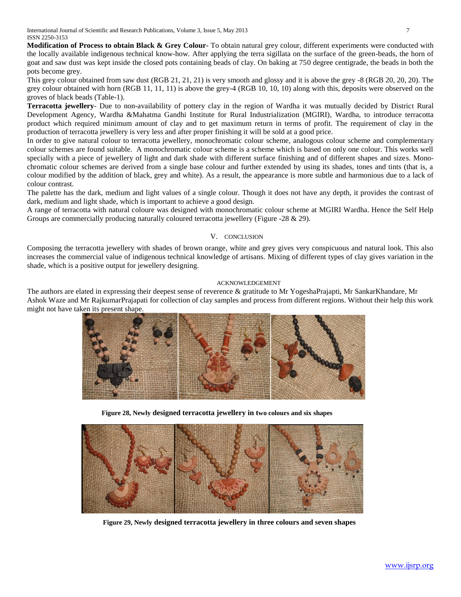**Modification of Process to obtain Black & Grey Colour**- To obtain natural grey colour, different experiments were conducted with the locally available indigenous technical know-how. After applying the terra sigillata on the surface of the green-beads, the horn of goat and saw dust was kept inside the closed pots containing beads of clay. On baking at 750 degree centigrade, the beads in both the pots become grey.

This grey colour obtained from saw dust (RGB 21, 21, 21) is very smooth and glossy and it is above the grey -8 (RGB 20, 20, 20). The grey colour obtained with horn (RGB 11, 11, 11) is above the grey-4 (RGB 10, 10, 10) along with this, deposits were observed on the groves of black beads (Table-1).

**Terracotta jewellery**- Due to non-availability of pottery clay in the region of Wardha it was mutually decided by District Rural Development Agency, Wardha &Mahatma Gandhi Institute for Rural Industrialization (MGIRI), Wardha, to introduce terracotta product which required minimum amount of clay and to get maximum return in terms of profit. The requirement of clay in the production of terracotta jewellery is very less and after proper finishing it will be sold at a good price.

In order to give natural colour to terracotta jewellery, monochromatic colour scheme, analogous colour scheme and complementary colour schemes are found suitable. A monochromatic colour scheme is a scheme which is based on only one colour. This works well specially with a piece of jewellery of light and dark shade with different surface finishing and of different shapes and sizes. Monochromatic colour schemes are derived from a single base colour and further extended by using its shades, tones and tints (that is, a colour modified by the addition of black, grey and white). As a result, the appearance is more subtle and harmonious due to a lack of colour contrast.

The palette has the dark, medium and light values of a single colour. Though it does not have any depth, it provides the contrast of dark, medium and light shade, which is important to achieve a good design.

A range of terracotta with natural coloure was designed with monochromatic colour scheme at MGIRI Wardha. Hence the Self Help Groups are commercially producing naturally coloured terracotta jewellery (Figure -28 & 29).

#### V. CONCLUSION

Composing the terracotta jewellery with shades of brown orange, white and grey gives very conspicuous and natural look. This also increases the commercial value of indigenous technical knowledge of artisans. Mixing of different types of clay gives variation in the shade, which is a positive output for jewellery designing.

#### ACKNOWLEDGEMENT

The authors are elated in expressing their deepest sense of reverence & gratitude to Mr YogeshaPrajapti, Mr SankarKhandare, Mr Ashok Waze and Mr RajkumarPrajapati for collection of clay samples and process from different regions. Without their help this work might not have taken its present shape.



 **Figure 28, Newly designed terracotta jewellery in two colours and six shapes**



**Figure 29, Newly designed terracotta jewellery in three colours and seven shapes**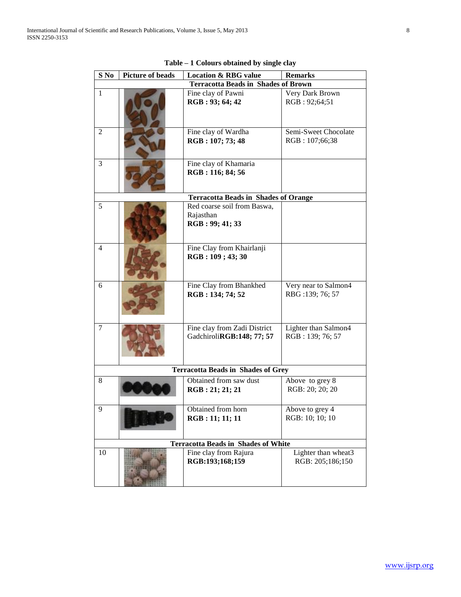| S No                                       | <b>Picture of beads</b> | <b>Location &amp; RBG value</b>             | <b>Remarks</b>       |  |  |  |  |  |
|--------------------------------------------|-------------------------|---------------------------------------------|----------------------|--|--|--|--|--|
| <b>Terracotta Beads in Shades of Brown</b> |                         |                                             |                      |  |  |  |  |  |
| $\mathbf{1}$                               |                         | Fine clay of Pawni                          | Very Dark Brown      |  |  |  |  |  |
|                                            |                         | RGB: 93; 64; 42                             | RGB: 92;64;51        |  |  |  |  |  |
| $\overline{2}$                             |                         | Fine clay of Wardha                         | Semi-Sweet Chocolate |  |  |  |  |  |
|                                            |                         | RGB: 107; 73; 48                            | RGB: 107;66;38       |  |  |  |  |  |
| 3                                          |                         | Fine clay of Khamaria                       |                      |  |  |  |  |  |
|                                            |                         | RGB: 116; 84; 56                            |                      |  |  |  |  |  |
|                                            |                         | <b>Terracotta Beads in Shades of Orange</b> |                      |  |  |  |  |  |
| 5                                          |                         | Red coarse soil from Baswa,                 |                      |  |  |  |  |  |
|                                            |                         | Rajasthan                                   |                      |  |  |  |  |  |
|                                            |                         | RGB: 99; 41; 33                             |                      |  |  |  |  |  |
| 4                                          |                         | Fine Clay from Khairlanji                   |                      |  |  |  |  |  |
|                                            |                         | RGB: 109; 43; 30                            |                      |  |  |  |  |  |
| 6                                          |                         | Fine Clay from Bhankhed                     | Very near to Salmon4 |  |  |  |  |  |
|                                            |                         | RGB: 134; 74; 52                            | RBG:139; 76; 57      |  |  |  |  |  |
| 7                                          |                         | Fine clay from Zadi District                | Lighter than Salmon4 |  |  |  |  |  |
|                                            |                         | GadchiroliRGB:148; 77; 57                   | RGB: 139; 76; 57     |  |  |  |  |  |
|                                            |                         | <b>Terracotta Beads in Shades of Grey</b>   |                      |  |  |  |  |  |
| 8                                          |                         | Obtained from saw dust                      | Above to grey 8      |  |  |  |  |  |
|                                            |                         | RGB: 21; 21; 21                             | RGB: 20; 20; 20      |  |  |  |  |  |
| 9                                          |                         | Obtained from horn                          | Above to grey 4      |  |  |  |  |  |
|                                            |                         | RGB: 11; 11; 11                             | RGB: 10; 10; 10      |  |  |  |  |  |
| <b>Terracotta Beads in Shades of White</b> |                         |                                             |                      |  |  |  |  |  |
| 10                                         |                         | Fine clay from Rajura                       | Lighter than wheat3  |  |  |  |  |  |
|                                            |                         | RGB:193;168;159                             | RGB: 205;186;150     |  |  |  |  |  |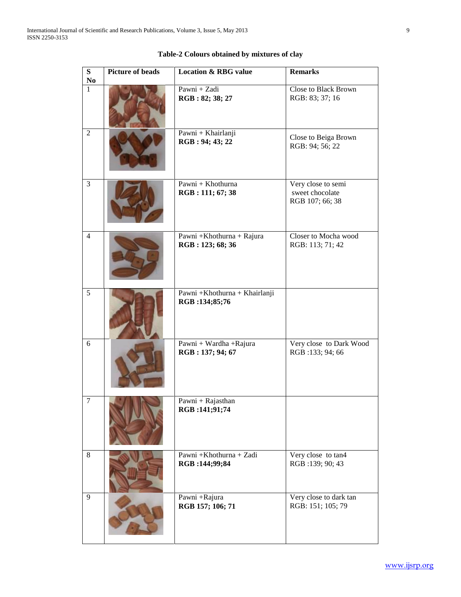| S<br>$\bf No$  | <b>Picture of beads</b> | <b>Location &amp; RBG value</b>                 | <b>Remarks</b>                                           |
|----------------|-------------------------|-------------------------------------------------|----------------------------------------------------------|
| $\overline{1}$ |                         | Pawni + Zadi<br>RGB: 82; 38; 27                 | <b>Close to Black Brown</b><br>RGB: 83; 37; 16           |
| 2              |                         | Pawni + Khairlanji<br>RGB: 94; 43; 22           | Close to Beiga Brown<br>RGB: 94; 56; 22                  |
| $\mathfrak{Z}$ |                         | Pawni + Khothurna<br>RGB: 111; 67; 38           | Very close to semi<br>sweet chocolate<br>RGB 107; 66; 38 |
| $\overline{4}$ |                         | Pawni + Khothurna + Rajura<br>RGB: 123; 68; 36  | Closer to Mocha wood<br>RGB: 113; 71; 42                 |
| 5              |                         | Pawni + Khothurna + Khairlanji<br>RGB:134;85;76 |                                                          |
| 6              |                         | Pawni + Wardha + Rajura<br>RGB: 137; 94; 67     | Very close to Dark Wood<br>RGB:133; 94; 66               |
| 7              |                         | Pawni + Rajasthan<br>RGB:141;91;74              |                                                          |
| 8              |                         | Pawni + Khothurna + Zadi<br>RGB:144;99;84       | Very close to tan4<br>RGB:139; 90; 43                    |
| 9              |                         | Pawni +Rajura<br>RGB 157; 106; 71               | Very close to dark tan<br>RGB: 151; 105; 79              |

# **Table-2 Colours obtained by mixtures of clay**